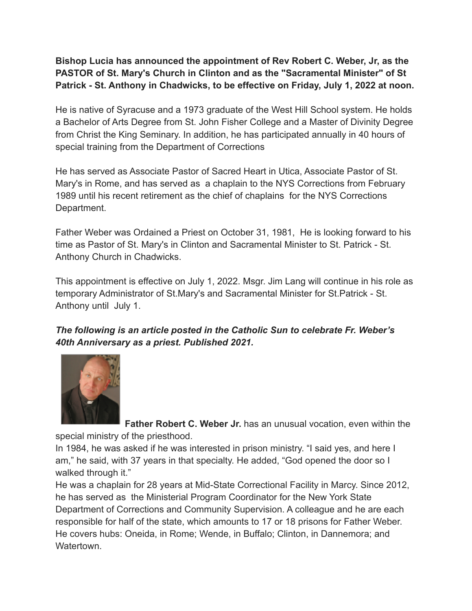**Bishop Lucia has announced the appointment of Rev Robert C. Weber, Jr, as the PASTOR of St. Mary's Church in Clinton and as the "Sacramental Minister" of St Patrick - St. Anthony in Chadwicks, to be effective on Friday, July 1, 2022 at noon.**

He is native of Syracuse and a 1973 graduate of the West Hill School system. He holds a Bachelor of Arts Degree from St. John Fisher College and a Master of Divinity Degree from Christ the King Seminary. In addition, he has participated annually in 40 hours of special training from the Department of Corrections

He has served as Associate Pastor of Sacred Heart in Utica, Associate Pastor of St. Mary's in Rome, and has served as a chaplain to the NYS Corrections from February 1989 until his recent retirement as the chief of chaplains for the NYS Corrections Department.

Father Weber was Ordained a Priest on October 31, 1981, He is looking forward to his time as Pastor of St. Mary's in Clinton and Sacramental Minister to St. Patrick - St. Anthony Church in Chadwicks.

This appointment is effective on July 1, 2022. Msgr. Jim Lang will continue in his role as temporary Administrator of St.Mary's and Sacramental Minister for St.Patrick - St. Anthony until July 1.

*The following is an article posted in the Catholic Sun to celebrate Fr. Weber's 40th Anniversary as a priest. Published 2021.*



**Father Robert C. Weber Jr.** has an unusual vocation, even within the special ministry of the priesthood.

In 1984, he was asked if he was interested in prison ministry. "I said yes, and here I am," he said, with 37 years in that specialty. He added, "God opened the door so I walked through it."

He was a chaplain for 28 years at Mid-State Correctional Facility in Marcy. Since 2012, he has served as the Ministerial Program Coordinator for the New York State Department of Corrections and Community Supervision. A colleague and he are each responsible for half of the state, which amounts to 17 or 18 prisons for Father Weber. He covers hubs: Oneida, in Rome; Wende, in Buffalo; Clinton, in Dannemora; and **Watertown**